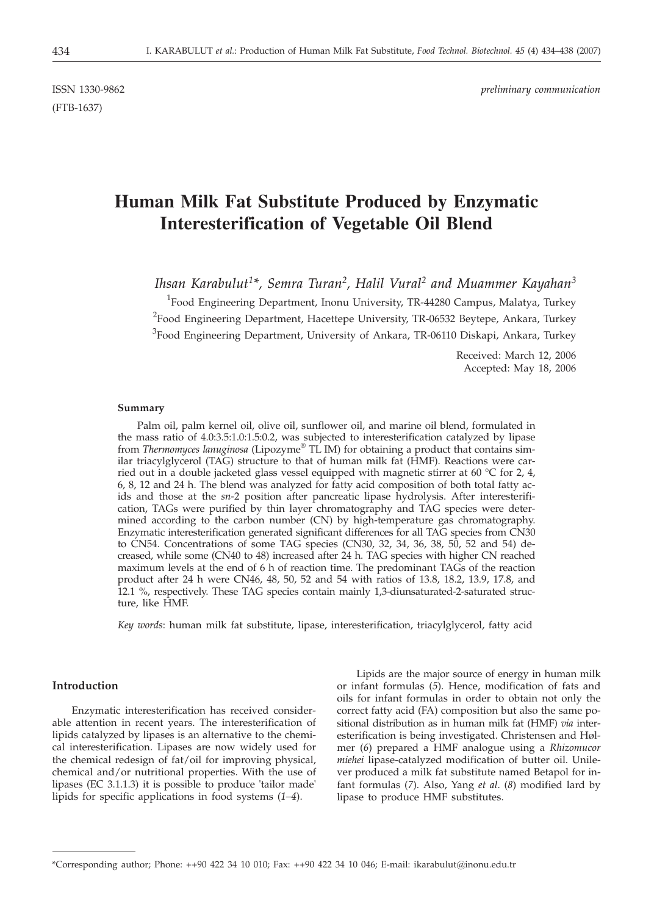(FTB-1637)

# **Human Milk Fat Substitute Produced by Enzymatic Interesterification of Vegetable Oil Blend**

*Ihsan Karabulut1\*, Semra Turan2, Halil Vural2 and Muammer Kayahan3*

<sup>1</sup>Food Engineering Department, Inonu University, TR-44280 Campus, Malatya, Turkey <sup>2</sup>Food Engineering Department, Hacettepe University, TR-06532 Beytepe, Ankara, Turkey <sup>3</sup>Food Engineering Department, University of Ankara, TR-06110 Diskapi, Ankara, Turkey

> Received: March 12, 2006 Accepted: May 18, 2006

#### **Summary**

Palm oil, palm kernel oil, olive oil, sunflower oil, and marine oil blend, formulated in the mass ratio of 4.0:3.5:1.0:1.5:0.2, was subjected to interesterification catalyzed by lipase from *Thermomyces lanuginosa* (Lipozyme® TL IM) for obtaining a product that contains similar triacylglycerol (TAG) structure to that of human milk fat (HMF). Reactions were carried out in a double jacketed glass vessel equipped with magnetic stirrer at 60 °C for 2, 4, 6, 8, 12 and 24 h. The blend was analyzed for fatty acid composition of both total fatty acids and those at the *sn*-2 position after pancreatic lipase hydrolysis. After interesterification, TAGs were purified by thin layer chromatography and TAG species were determined according to the carbon number (CN) by high-temperature gas chromatography. Enzymatic interesterification generated significant differences for all TAG species from CN30 to CN54. Concentrations of some TAG species (CN30, 32, 34, 36, 38, 50, 52 and 54) decreased, while some (CN40 to 48) increased after 24 h. TAG species with higher CN reached maximum levels at the end of 6 h of reaction time. The predominant TAGs of the reaction product after 24 h were CN46, 48, 50, 52 and 54 with ratios of 13.8, 18.2, 13.9, 17.8, and 12.1 %, respectively. These TAG species contain mainly 1,3-diunsaturated-2-saturated structure, like HMF.

*Key words*: human milk fat substitute, lipase, interesterification, triacylglycerol, fatty acid

# **Introduction**

Enzymatic interesterification has received considerable attention in recent years. The interesterification of lipids catalyzed by lipases is an alternative to the chemical interesterification. Lipases are now widely used for the chemical redesign of fat/oil for improving physical, chemical and/or nutritional properties. With the use of lipases (EC 3.1.1.3) it is possible to produce 'tailor made' lipids for specific applications in food systems (*1–4*).

Lipids are the major source of energy in human milk or infant formulas (*5*). Hence, modification of fats and oils for infant formulas in order to obtain not only the correct fatty acid (FA) composition but also the same positional distribution as in human milk fat (HMF) *via* interesterification is being investigated. Christensen and Hølmer (*6*) prepared a HMF analogue using a *Rhizomucor miehei* lipase-catalyzed modification of butter oil. Unilever produced a milk fat substitute named Betapol for infant formulas (*7*). Also, Yang *et al*. (*8*) modified lard by lipase to produce HMF substitutes.

<sup>\*</sup>Corresponding author; Phone: ++90 422 34 10 010; Fax: ++90 422 34 10 046; E-mail: ikarabulut@inonu.edu.tr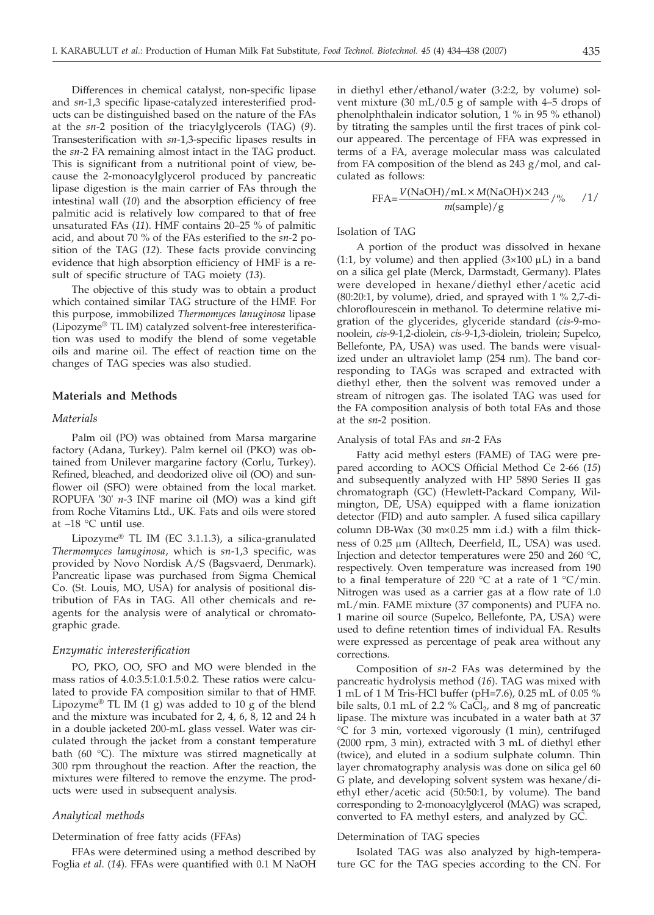Differences in chemical catalyst, non-specific lipase and *sn*-1,3 specific lipase-catalyzed interesterified products can be distinguished based on the nature of the FAs at the *sn*-2 position of the triacylglycerols (TAG) (*9*). Transesterification with *sn*-1,3-specific lipases results in the *sn*-2 FA remaining almost intact in the TAG product. This is significant from a nutritional point of view, because the 2-monoacylglycerol produced by pancreatic lipase digestion is the main carrier of FAs through the intestinal wall (*10*) and the absorption efficiency of free palmitic acid is relatively low compared to that of free unsaturated FAs (*11*). HMF contains 20–25 % of palmitic acid, and about 70 % of the FAs esterified to the *sn*-2 position of the TAG (*12*). These facts provide convincing evidence that high absorption efficiency of HMF is a result of specific structure of TAG moiety (*13*).

The objective of this study was to obtain a product which contained similar TAG structure of the HMF. For this purpose, immobilized *Thermomyces lanuginosa* lipase (Lipozyme® TL IM) catalyzed solvent-free interesterification was used to modify the blend of some vegetable oils and marine oil. The effect of reaction time on the changes of TAG species was also studied.

# **Materials and Methods**

# *Materials*

Palm oil (PO) was obtained from Marsa margarine factory (Adana, Turkey). Palm kernel oil (PKO) was obtained from Unilever margarine factory (Corlu, Turkey). Refined, bleached, and deodorized olive oil (OO) and sunflower oil (SFO) were obtained from the local market. ROPUFA '30' *n*-3 INF marine oil (MO) was a kind gift from Roche Vitamins Ltd., UK. Fats and oils were stored at –18 °C until use.

Lipozyme® TL IM (EC 3.1.1.3), a silica-granulated *Thermomyces lanuginosa*, which is *sn*-1,3 specific, was provided by Novo Nordisk A/S (Bagsvaerd, Denmark). Pancreatic lipase was purchased from Sigma Chemical Co. (St. Louis, MO, USA) for analysis of positional distribution of FAs in TAG. All other chemicals and reagents for the analysis were of analytical or chromatographic grade.

## *Enzymatic interesterification*

PO, PKO, OO, SFO and MO were blended in the mass ratios of 4.0:3.5:1.0:1.5:0.2. These ratios were calculated to provide FA composition similar to that of HMF. Lipozyme<sup>®</sup> TL IM  $(1 g)$  was added to 10 g of the blend and the mixture was incubated for 2, 4, 6, 8, 12 and 24 h in a double jacketed 200-mL glass vessel. Water was circulated through the jacket from a constant temperature bath (60 °C). The mixture was stirred magnetically at 300 rpm throughout the reaction. After the reaction, the mixtures were filtered to remove the enzyme. The products were used in subsequent analysis.

## *Analytical methods*

## Determination of free fatty acids (FFAs)

FFAs were determined using a method described by Foglia *et al*. (*14*). FFAs were quantified with 0.1 M NaOH

in diethyl ether/ethanol/water (3:2:2, by volume) solvent mixture (30 mL/0.5 g of sample with 4–5 drops of phenolphthalein indicator solution, 1 % in 95 % ethanol) by titrating the samples until the first traces of pink colour appeared. The percentage of FFA was expressed in terms of a FA, average molecular mass was calculated from FA composition of the blend as 243 g/mol, and calculated as follows:

$$
FFA = \frac{V(NaOH)/mL \times M(NaOH) \times 243}{m(sample)/g} / \frac{6}{5} / \frac{1}{5}
$$

Isolation of TAG

A portion of the product was dissolved in hexane (1:1, by volume) and then applied  $(3\times100 \,\mu)$  in a band on a silica gel plate (Merck, Darmstadt, Germany). Plates were developed in hexane/diethyl ether/acetic acid  $(80:20:1,$  by volume), dried, and sprayed with  $1\%$  2,7-dichloroflourescein in methanol. To determine relative migration of the glycerides, glyceride standard (*cis*-9-monoolein, *cis*-9-1,2-diolein, *cis*-9-1,3-diolein, triolein; Supelco, Bellefonte, PA, USA) was used. The bands were visualized under an ultraviolet lamp (254 nm). The band corresponding to TAGs was scraped and extracted with diethyl ether, then the solvent was removed under a stream of nitrogen gas. The isolated TAG was used for the FA composition analysis of both total FAs and those at the *sn*-2 position.

#### Analysis of total FAs and *sn*-2 FAs

Fatty acid methyl esters (FAME) of TAG were prepared according to AOCS Official Method Ce 2-66 (*15*) and subsequently analyzed with HP 5890 Series II gas chromatograph (GC) (Hewlett-Packard Company, Wilmington, DE, USA) equipped with a flame ionization detector (FID) and auto sampler. A fused silica capillary column DB-Wax (30  $m \times 0.25$  mm i.d.) with a film thickness of 0.25 µm (Alltech, Deerfield, IL, USA) was used. Injection and detector temperatures were 250 and 260 °C, respectively. Oven temperature was increased from 190 to a final temperature of 220 °C at a rate of 1 °C/min. Nitrogen was used as a carrier gas at a flow rate of 1.0 mL/min. FAME mixture (37 components) and PUFA no. 1 marine oil source (Supelco, Bellefonte, PA, USA) were used to define retention times of individual FA. Results were expressed as percentage of peak area without any corrections.

Composition of *sn-2* FAs was determined by the pancreatic hydrolysis method (*16*). TAG was mixed with 1 mL of 1 M Tris-HCl buffer (pH=7.6), 0.25 mL of 0.05 % bile salts,  $0.1$  mL of 2.2 % CaCl<sub>2</sub>, and 8 mg of pancreatic lipase. The mixture was incubated in a water bath at 37 °C for 3 min, vortexed vigorously (1 min), centrifuged (2000 rpm, 3 min), extracted with 3 mL of diethyl ether (twice), and eluted in a sodium sulphate column. Thin layer chromatography analysis was done on silica gel 60 G plate, and developing solvent system was hexane/diethyl ether/acetic acid (50:50:1, by volume). The band corresponding to 2-monoacylglycerol (MAG) was scraped, converted to FA methyl esters, and analyzed by GC.

## Determination of TAG species

Isolated TAG was also analyzed by high-temperature GC for the TAG species according to the CN. For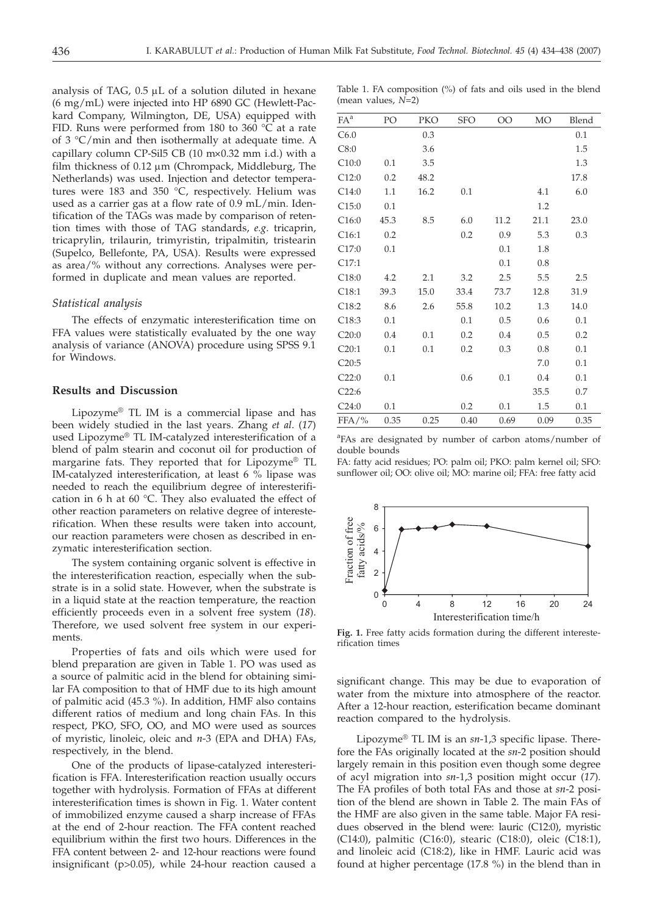analysis of TAG,  $0.5 \mu L$  of a solution diluted in hexane (6 mg/mL) were injected into HP 6890 GC (Hewlett-Packard Company, Wilmington, DE, USA) equipped with FID. Runs were performed from 180 to 360 °C at a rate of 3 °C/min and then isothermally at adequate time. A capillary column CP-Sil $5$  CB (10 m $\times$ 0.32 mm i.d.) with a film thickness of  $0.12 \mu m$  (Chrompack, Middleburg, The Netherlands) was used. Injection and detector temperatures were 183 and 350 °C, respectively. Helium was used as a carrier gas at a flow rate of 0.9 mL/min. Identification of the TAGs was made by comparison of retention times with those of TAG standards, *e.g*. tricaprin, tricaprylin, trilaurin, trimyristin, tripalmitin, tristearin (Supelco, Bellefonte, PA, USA). Results were expressed as area/% without any corrections. Analyses were performed in duplicate and mean values are reported.

## *Statistical analysis*

The effects of enzymatic interesterification time on FFA values were statistically evaluated by the one way analysis of variance (ANOVA) procedure using SPSS 9.1 for Windows.

# **Results and Discussion**

Lipozyme® TL IM is a commercial lipase and has been widely studied in the last years. Zhang *et al*. (*17*) used Lipozyme® TL IM-catalyzed interesterification of a blend of palm stearin and coconut oil for production of margarine fats. They reported that for Lipozyme® TL IM-catalyzed interesterification, at least 6 % lipase was needed to reach the equilibrium degree of interesterification in 6 h at 60 °C. They also evaluated the effect of other reaction parameters on relative degree of interesterification. When these results were taken into account, our reaction parameters were chosen as described in enzymatic interesterification section.

The system containing organic solvent is effective in the interesterification reaction, especially when the substrate is in a solid state. However, when the substrate is in a liquid state at the reaction temperature, the reaction efficiently proceeds even in a solvent free system (*18*). Therefore, we used solvent free system in our experiments.

Properties of fats and oils which were used for blend preparation are given in Table 1. PO was used as a source of palmitic acid in the blend for obtaining similar FA composition to that of HMF due to its high amount of palmitic acid (45.3 %). In addition, HMF also contains different ratios of medium and long chain FAs. In this respect, PKO, SFO, OO, and MO were used as sources of myristic, linoleic, oleic and *n*-3 (EPA and DHA) FAs, respectively, in the blend.

One of the products of lipase-catalyzed interesterification is FFA. Interesterification reaction usually occurs together with hydrolysis. Formation of FFAs at different interesterification times is shown in Fig. 1. Water content of immobilized enzyme caused a sharp increase of FFAs at the end of 2-hour reaction. The FFA content reached equilibrium within the first two hours. Differences in the FFA content between 2- and 12-hour reactions were found insignificant (p>0.05), while 24-hour reaction caused a

Table 1. FA composition (%) of fats and oils used in the blend (mean values, *N*=2)

| $FA^a$   | PO   | PKO  | <b>SFO</b> | OO   | <b>MO</b> | Blend |
|----------|------|------|------------|------|-----------|-------|
| C6.0     |      | 0.3  |            |      |           | 0.1   |
| C8:0     |      | 3.6  |            |      |           | 1.5   |
| C10:0    | 0.1  | 3.5  |            |      |           | 1.3   |
| C12:0    | 0.2  | 48.2 |            |      |           | 17.8  |
| C14:0    | 1.1  | 16.2 | 0.1        |      | 4.1       | 6.0   |
| C15:0    | 0.1  |      |            |      | 1.2       |       |
| C16:0    | 45.3 | 8.5  | 6.0        | 11.2 | 21.1      | 23.0  |
| C16:1    | 0.2  |      | 0.2        | 0.9  | 5.3       | 0.3   |
| C17:0    | 0.1  |      |            | 0.1  | 1.8       |       |
| C17:1    |      |      |            | 0.1  | 0.8       |       |
| C18:0    | 4.2  | 2.1  | 3.2        | 2.5  | 5.5       | 2.5   |
| C18:1    | 39.3 | 15.0 | 33.4       | 73.7 | 12.8      | 31.9  |
| C18:2    | 8.6  | 2.6  | 55.8       | 10.2 | 1.3       | 14.0  |
| C18:3    | 0.1  |      | 0.1        | 0.5  | 0.6       | 0.1   |
| C20:0    | 0.4  | 0.1  | 0.2        | 0.4  | 0.5       | 0.2   |
| C20:1    | 0.1  | 0.1  | 0.2        | 0.3  | 0.8       | 0.1   |
| C20:5    |      |      |            |      | 7.0       | 0.1   |
| C22:0    | 0.1  |      | 0.6        | 0.1  | 0.4       | 0.1   |
| C22:6    |      |      |            |      | 35.5      | 0.7   |
| C24:0    | 0.1  |      | 0.2        | 0.1  | 1.5       | 0.1   |
| $FFA/$ % | 0.35 | 0.25 | 0.40       | 0.69 | 0.09      | 0.35  |
|          |      |      |            |      |           |       |

<sup>a</sup>FAs are designated by number of carbon atoms/number of double bounds

FA: fatty acid residues; PO: palm oil; PKO: palm kernel oil; SFO: sunflower oil; OO: olive oil; MO: marine oil; FFA: free fatty acid



**Fig. 1.** Free fatty acids formation during the different interesterification times

significant change. This may be due to evaporation of water from the mixture into atmosphere of the reactor. After a 12-hour reaction, esterification became dominant reaction compared to the hydrolysis.

Lipozyme® TL IM is an *sn*-1,3 specific lipase. Therefore the FAs originally located at the *sn*-2 position should largely remain in this position even though some degree of acyl migration into *sn*-1,3 position might occur (*17*). The FA profiles of both total FAs and those at *sn*-2 position of the blend are shown in Table 2. The main FAs of the HMF are also given in the same table. Major FA residues observed in the blend were: lauric (C12:0), myristic (C14:0), palmitic (C16:0), stearic (C18:0), oleic (C18:1), and linoleic acid (C18:2), like in HMF. Lauric acid was found at higher percentage (17.8 %) in the blend than in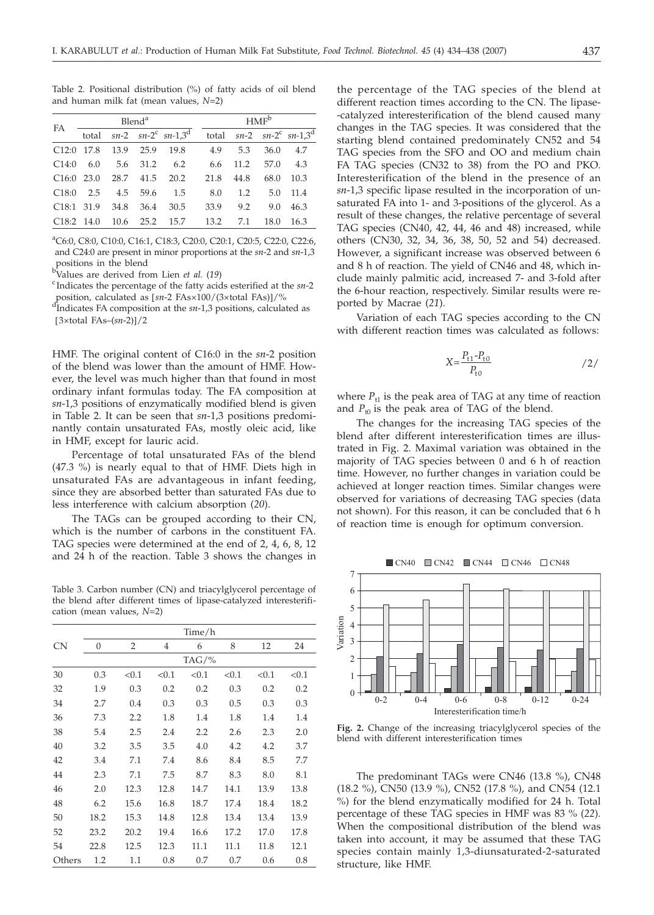Table 2. Positional distribution (%) of fatty acids of oil blend and human milk fat (mean values, *N*=2)

| <b>FA</b>    | Blend <sup>a</sup> |      |           |                                                  | HMF <sup>b</sup> |      |      |                                                        |
|--------------|--------------------|------|-----------|--------------------------------------------------|------------------|------|------|--------------------------------------------------------|
|              | total              |      |           | $sn-2$ $sn-2$ <sup>c</sup> $sn-1,3$ <sup>d</sup> |                  |      |      | total $sn-2$ $sn-2$ <sup>c</sup> $sn-1,3$ <sup>d</sup> |
| C12:0        | - 17.8             | 13.9 | 25.9      | 19.8                                             | 4.9              | 5.3  | 36.0 | 4.7                                                    |
| C14:0        | 6.0                |      | 5.6 31.2  | 6.2                                              | 6.6              | 11.2 | 57.0 | 4.3                                                    |
| $C16:0$ 23.0 |                    |      | 28.7 41.5 | 20.2                                             | 21.8             | 44.8 | 68.0 | 10.3                                                   |
| C18:0        | 2.5                | 4.5  | 59.6      | 1.5                                              | 8.0              | 1.2  | 5.0  | 11.4                                                   |
| C18:1        | 31.9               | 34.8 | 36.4      | 30.5                                             | 33.9             | 9.2  | 9.0  | 46.3                                                   |
| $C18:2$ 14.0 |                    | 10.6 | 25.2      | 15.7                                             | 13.2             | 7.1  | 18.0 | 16.3                                                   |

a C6:0, C8:0, C10:0, C16:1, C18:3, C20:0, C20:1, C20:5, C22:0, C22:6, and C24:0 are present in minor proportions at the *sn*-2 and *sn*-1,3

positions in the blend<br><sup>b</sup>Values are derived from Lien *et al.* (19)<br><sup>c</sup>Indicates the percentage of the fatty acid

Indicates the percentage of the fatty acids esterified at the *sn*-2

position, calculated as [*sn*-2 FAs×100/(3×total FAs)]/% d<sup>1</sup>Indicates FA composition at the *sn*-1,3 positions, calculated as [3×total FAs–(*sn*-2)]/2

HMF. The original content of C16:0 in the *sn*-2 position of the blend was lower than the amount of HMF. However, the level was much higher than that found in most ordinary infant formulas today. The FA composition at *sn*-1,3 positions of enzymatically modified blend is given in Table 2. It can be seen that *sn*-1,3 positions predominantly contain unsaturated FAs, mostly oleic acid, like in HMF, except for lauric acid.

Percentage of total unsaturated FAs of the blend (47.3 %) is nearly equal to that of HMF. Diets high in unsaturated FAs are advantageous in infant feeding, since they are absorbed better than saturated FAs due to less interference with calcium absorption (*20*).

The TAGs can be grouped according to their CN, which is the number of carbons in the constituent FA. TAG species were determined at the end of 2, 4, 6, 8, 12 and 24 h of the reaction. Table 3 shows the changes in

Table 3. Carbon number (CN) and triacylglycerol percentage of the blend after different times of lipase-catalyzed interesterification (mean values, *N*=2)

|           | Time/h |                |                |       |       |       |       |  |
|-----------|--------|----------------|----------------|-------|-------|-------|-------|--|
| <b>CN</b> | 0      | $\overline{2}$ | $\overline{4}$ | 6     | 8     | 12    | 24    |  |
|           |        |                |                | TAG/% |       |       |       |  |
| 30        | 0.3    | < 0.1          | < 0.1          | < 0.1 | < 0.1 | < 0.1 | < 0.1 |  |
| 32        | 1.9    | 0.3            | 0.2            | 0.2   | 0.3   | 0.2   | 0.2   |  |
| 34        | 2.7    | 0.4            | 0.3            | 0.3   | 0.5   | 0.3   | 0.3   |  |
| 36        | 7.3    | 2.2            | 1.8            | 1.4   | 1.8   | 1.4   | 1.4   |  |
| 38        | 5.4    | 2.5            | 2.4            | 2.2   | 2.6   | 2.3   | 2.0   |  |
| 40        | 3.2    | 3.5            | 3.5            | 4.0   | 4.2   | 4.2   | 3.7   |  |
| 42        | 3.4    | 7.1            | 7.4            | 8.6   | 8.4   | 8.5   | 7.7   |  |
| 44        | 2.3    | 7.1            | 7.5            | 8.7   | 8.3   | 8.0   | 8.1   |  |
| 46        | 2.0    | 12.3           | 12.8           | 14.7  | 14.1  | 13.9  | 13.8  |  |
| 48        | 6.2    | 15.6           | 16.8           | 18.7  | 17.4  | 18.4  | 18.2  |  |
| 50        | 18.2   | 15.3           | 14.8           | 12.8  | 13.4  | 13.4  | 13.9  |  |
| 52        | 23.2   | 20.2           | 19.4           | 16.6  | 17.2  | 17.0  | 17.8  |  |
| 54        | 22.8   | 12.5           | 12.3           | 11.1  | 11.1  | 11.8  | 12.1  |  |
| Others    | 1.2    | 1.1            | 0.8            | 0.7   | 0.7   | 0.6   | 0.8   |  |

the percentage of the TAG species of the blend at different reaction times according to the CN. The lipase- -catalyzed interesterification of the blend caused many changes in the TAG species. It was considered that the starting blend contained predominately CN52 and 54 TAG species from the SFO and OO and medium chain FA TAG species (CN32 to 38) from the PO and PKO. Interesterification of the blend in the presence of an *sn*-1,3 specific lipase resulted in the incorporation of unsaturated FA into 1- and 3-positions of the glycerol. As a result of these changes, the relative percentage of several TAG species (CN40, 42, 44, 46 and 48) increased, while others (CN30, 32, 34, 36, 38, 50, 52 and 54) decreased. However, a significant increase was observed between 6 and 8 h of reaction. The yield of CN46 and 48, which include mainly palmitic acid, increased 7- and 3-fold after the 6-hour reaction, respectively. Similar results were reported by Macrae (*21*).

Variation of each TAG species according to the CN with different reaction times was calculated as follows:

$$
X = \frac{P_{t1} - P_{t0}}{P_{t0}} \tag{2}
$$

where  $P_{t1}$  is the peak area of TAG at any time of reaction and  $P_{t0}$  is the peak area of TAG of the blend.

The changes for the increasing TAG species of the blend after different interesterification times are illustrated in Fig. 2. Maximal variation was obtained in the majority of TAG species between 0 and 6 h of reaction time. However, no further changes in variation could be achieved at longer reaction times. Similar changes were observed for variations of decreasing TAG species (data not shown). For this reason, it can be concluded that 6 h of reaction time is enough for optimum conversion.



**Fig. 2.** Change of the increasing triacylglycerol species of the blend with different interesterification times

The predominant TAGs were CN46 (13.8 %), CN48 (18.2 %), CN50 (13.9 %), CN52 (17.8 %), and CN54 (12.1 %) for the blend enzymatically modified for 24 h. Total percentage of these TAG species in HMF was 83 % (*22*). When the compositional distribution of the blend was taken into account, it may be assumed that these TAG species contain mainly 1,3-diunsaturated-2-saturated structure, like HMF.